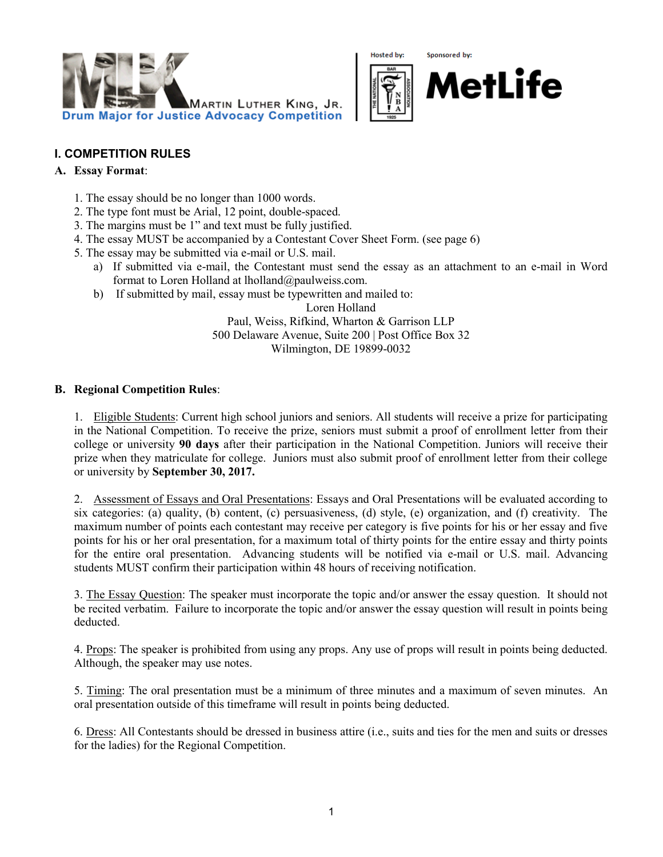

Hosted by: Sponsored by:



#### **I. COMPETITION RULES**

#### **A. Essay Format**:

- 1. The essay should be no longer than 1000 words.
- 2. The type font must be Arial, 12 point, double-spaced.
- 3. The margins must be 1" and text must be fully justified.
- 4. The essay MUST be accompanied by a Contestant Cover Sheet Form. (see page 6)
- 5. The essay may be submitted via e-mail or U.S. mail.
	- a) If submitted via e-mail, the Contestant must send the essay as an attachment to an e-mail in Word format to Loren Holland at lholland@paulweiss.com.
	- b) If submitted by mail, essay must be typewritten and mailed to:

Loren Holland Paul, Weiss, Rifkind, Wharton & Garrison LLP 500 Delaware Avenue, Suite 200 | Post Office Box 32 Wilmington, DE 19899-0032

#### **B. Regional Competition Rules**:

1. Eligible Students: Current high school juniors and seniors. All students will receive a prize for participating in the National Competition. To receive the prize, seniors must submit a proof of enrollment letter from their college or university **90 days** after their participation in the National Competition. Juniors will receive their prize when they matriculate for college. Juniors must also submit proof of enrollment letter from their college or university by **September 30, 2017.**

2. Assessment of Essays and Oral Presentations: Essays and Oral Presentations will be evaluated according to six categories: (a) quality, (b) content, (c) persuasiveness, (d) style, (e) organization, and (f) creativity. The maximum number of points each contestant may receive per category is five points for his or her essay and five points for his or her oral presentation, for a maximum total of thirty points for the entire essay and thirty points for the entire oral presentation. Advancing students will be notified via e-mail or U.S. mail. Advancing students MUST confirm their participation within 48 hours of receiving notification.

3. The Essay Question: The speaker must incorporate the topic and/or answer the essay question. It should not be recited verbatim. Failure to incorporate the topic and/or answer the essay question will result in points being deducted.

4. Props: The speaker is prohibited from using any props. Any use of props will result in points being deducted. Although, the speaker may use notes.

5. Timing: The oral presentation must be a minimum of three minutes and a maximum of seven minutes. An oral presentation outside of this timeframe will result in points being deducted.

6. Dress: All Contestants should be dressed in business attire (i.e., suits and ties for the men and suits or dresses for the ladies) for the Regional Competition.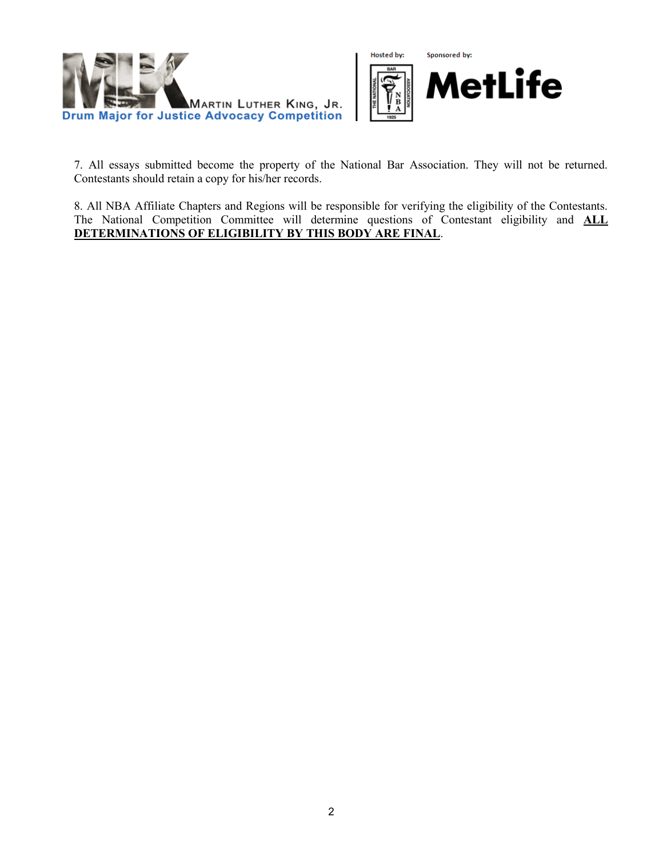



7. All essays submitted become the property of the National Bar Association. They will not be returned. Contestants should retain a copy for his/her records.

8. All NBA Affiliate Chapters and Regions will be responsible for verifying the eligibility of the Contestants. The National Competition Committee will determine questions of Contestant eligibility and **ALL DETERMINATIONS OF ELIGIBILITY BY THIS BODY ARE FINAL**.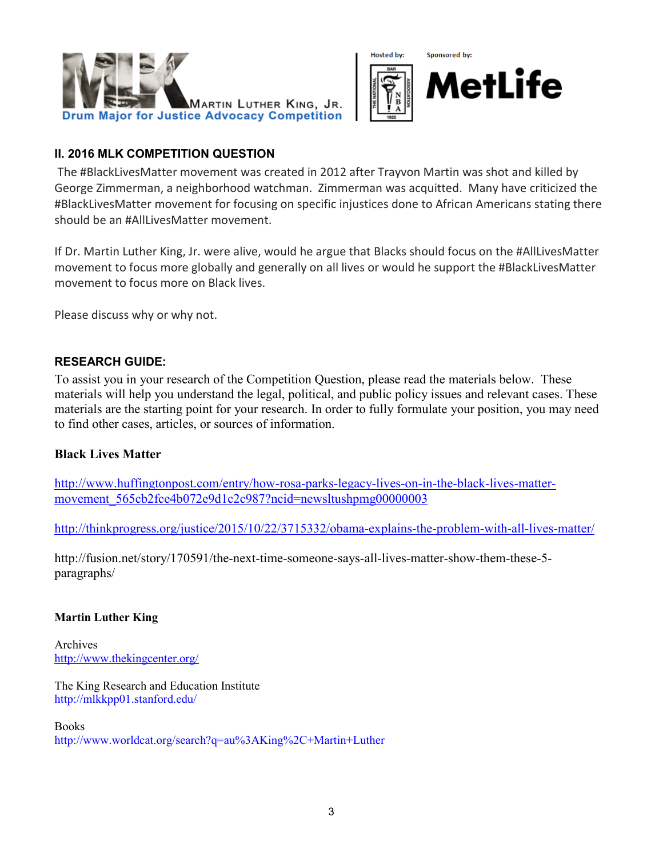



## **II. 2016 MLK COMPETITION QUESTION**

The #BlackLivesMatter movement was created in 2012 after Trayvon Martin was shot and killed by George Zimmerman, a neighborhood watchman. Zimmerman was acquitted. Many have criticized the #BlackLivesMatter movement for focusing on specific injustices done to African Americans stating there should be an #AllLivesMatter movement.

If Dr. Martin Luther King, Jr. were alive, would he argue that Blacks should focus on the #AllLivesMatter movement to focus more globally and generally on all lives or would he support the #BlackLivesMatter movement to focus more on Black lives.

Please discuss why or why not.

## **RESEARCH GUIDE:**

To assist you in your research of the Competition Question, please read the materials below. These materials will help you understand the legal, political, and public policy issues and relevant cases. These materials are the starting point for your research. In order to fully formulate your position, you may need to find other cases, articles, or sources of information.

## **Black Lives Matter**

[http://www.huffingtonpost.com/entry/how-rosa-parks-legacy-lives-on-in-the-black-lives-matter](http://www.huffingtonpost.com/entry/how-rosa-parks-legacy-lives-on-in-the-black-lives-matter-movement_565cb2fce4b072e9d1c2c987?ncid=newsltushpmg00000003)[movement\\_565cb2fce4b072e9d1c2c987?ncid=newsltushpmg00000003](http://www.huffingtonpost.com/entry/how-rosa-parks-legacy-lives-on-in-the-black-lives-matter-movement_565cb2fce4b072e9d1c2c987?ncid=newsltushpmg00000003)

<http://thinkprogress.org/justice/2015/10/22/3715332/obama-explains-the-problem-with-all-lives-matter/>

http://fusion.net/story/170591/the-next-time-someone-says-all-lives-matter-show-them-these-5 paragraphs/

## **Martin Luther King**

Archives <http://www.thekingcenter.org/>

The King Research and Education Institute http://mlkkpp01.stanford.edu/

Books http://www.worldcat.org/search?q=au%3AKing%2C+Martin+Luther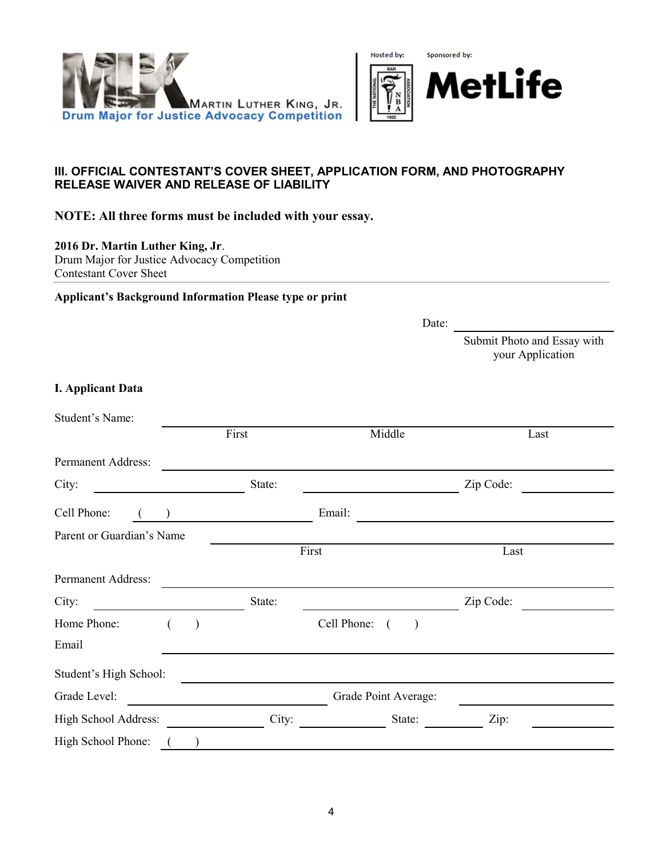



## **III. OFFICIAL CONTESTANT'S COVER SHEET, APPLICATION FORM, AND PHOTOGRAPHY RELEASE WAIVER AND RELEASE OF LIABILITY**

**NOTE: All three forms must be included with your essay.**

**2016 Dr. Martin Luther King, Jr**.

Drum Major for Justice Advocacy Competition Contestant Cover Sheet

**Applicant's Background Information Please type or print**

Date:

Submit Photo and Essay with your Application

#### **I. Applicant Data**

| Student's Name:           |   |           |        |             |                      |           |  |
|---------------------------|---|-----------|--------|-------------|----------------------|-----------|--|
|                           |   |           | First  |             | Middle               | Last      |  |
| Permanent Address:        |   |           |        |             |                      |           |  |
| City:                     |   |           | State: |             |                      | Zip Code: |  |
| Cell Phone:               |   |           |        | Email:      |                      |           |  |
| Parent or Guardian's Name |   |           |        |             |                      |           |  |
|                           |   |           |        | First       |                      | Last      |  |
| Permanent Address:        |   |           |        |             |                      |           |  |
| City:                     |   |           | State: |             |                      | Zip Code: |  |
| Home Phone:               | € | $\lambda$ |        | Cell Phone: | $\lambda$            |           |  |
| Email                     |   |           |        |             |                      |           |  |
| Student's High School:    |   |           |        |             |                      |           |  |
| Grade Level:              |   |           |        |             | Grade Point Average: |           |  |
| High School Address:      |   |           | City:  |             | State:               | Zip:      |  |
| High School Phone:        |   |           |        |             |                      |           |  |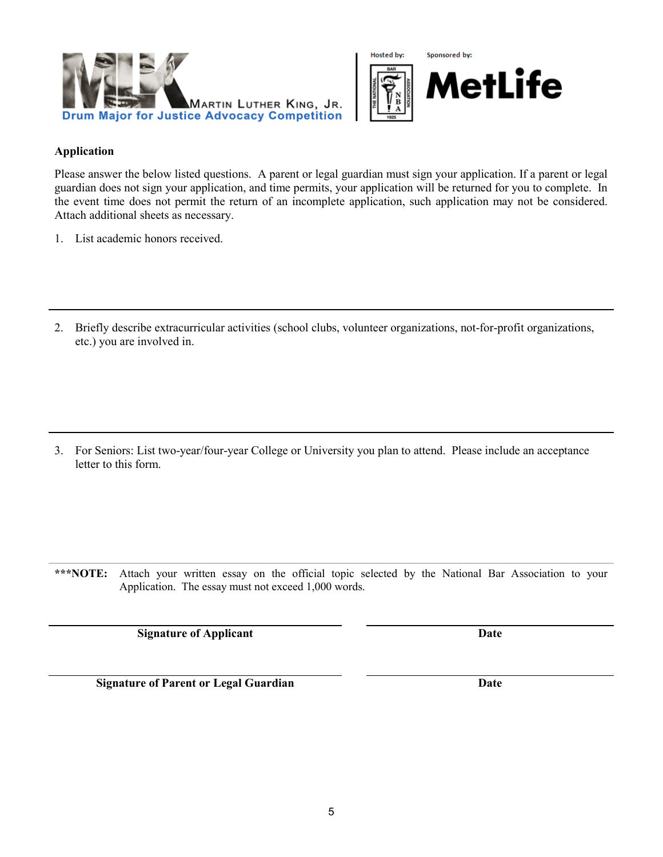



#### **Application**

Please answer the below listed questions. A parent or legal guardian must sign your application. If a parent or legal guardian does not sign your application, and time permits, your application will be returned for you to complete. In the event time does not permit the return of an incomplete application, such application may not be considered. Attach additional sheets as necessary.

- 1. List academic honors received.
- 2. Briefly describe extracurricular activities (school clubs, volunteer organizations, not-for-profit organizations, etc.) you are involved in.

3. For Seniors: List two-year/four-year College or University you plan to attend. Please include an acceptance letter to this form.

**\*\*\*NOTE:** Attach your written essay on the official topic selected by the National Bar Association to your Application. The essay must not exceed 1,000 words.

**Signature of Applicant Date** 

**Signature of Parent or Legal Guardian Date**